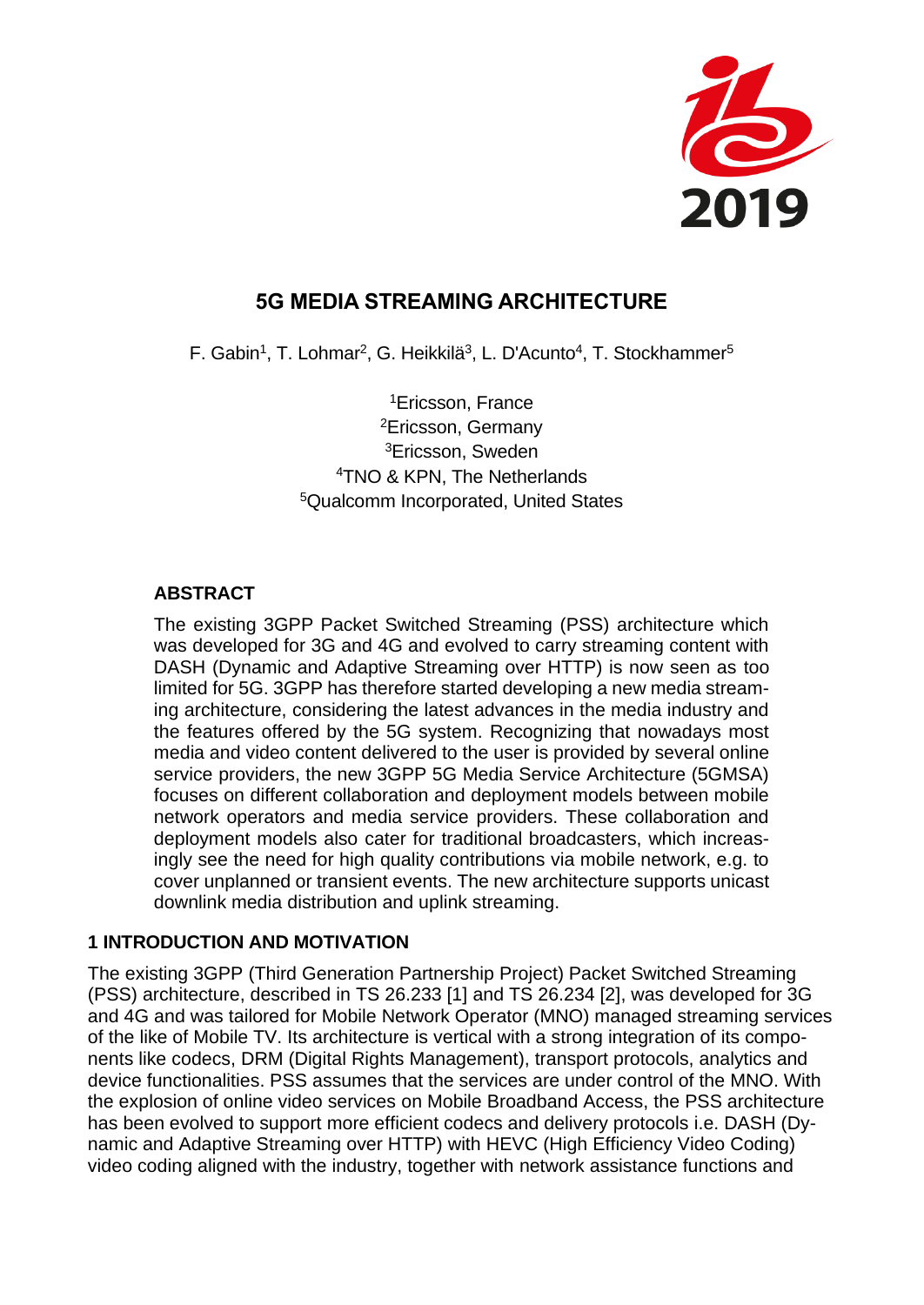

# **5G MEDIA STREAMING ARCHITECTURE**

F. Gabin<sup>1</sup>, T. Lohmar<sup>2</sup>, G. Heikkilä<sup>3</sup>, L. D'Acunto<sup>4</sup>, T. Stockhammer<sup>5</sup>

Ericsson, France Ericsson, Germany Ericsson, Sweden TNO & KPN, The Netherlands Qualcomm Incorporated, United States

### **ABSTRACT**

The existing 3GPP Packet Switched Streaming (PSS) architecture which was developed for 3G and 4G and evolved to carry streaming content with DASH (Dynamic and Adaptive Streaming over HTTP) is now seen as too limited for 5G. 3GPP has therefore started developing a new media streaming architecture, considering the latest advances in the media industry and the features offered by the 5G system. Recognizing that nowadays most media and video content delivered to the user is provided by several online service providers, the new 3GPP 5G Media Service Architecture (5GMSA) focuses on different collaboration and deployment models between mobile network operators and media service providers. These collaboration and deployment models also cater for traditional broadcasters, which increasingly see the need for high quality contributions via mobile network, e.g. to cover unplanned or transient events. The new architecture supports unicast downlink media distribution and uplink streaming.

### **1 INTRODUCTION AND MOTIVATION**

The existing 3GPP (Third Generation Partnership Project) Packet Switched Streaming (PSS) architecture, described in TS 26.233 [1] and TS 26.234 [2], was developed for 3G and 4G and was tailored for Mobile Network Operator (MNO) managed streaming services of the like of Mobile TV. Its architecture is vertical with a strong integration of its components like codecs, DRM (Digital Rights Management), transport protocols, analytics and device functionalities. PSS assumes that the services are under control of the MNO. With the explosion of online video services on Mobile Broadband Access, the PSS architecture has been evolved to support more efficient codecs and delivery protocols i.e. DASH (Dynamic and Adaptive Streaming over HTTP) with HEVC (High Efficiency Video Coding) video coding aligned with the industry, together with network assistance functions and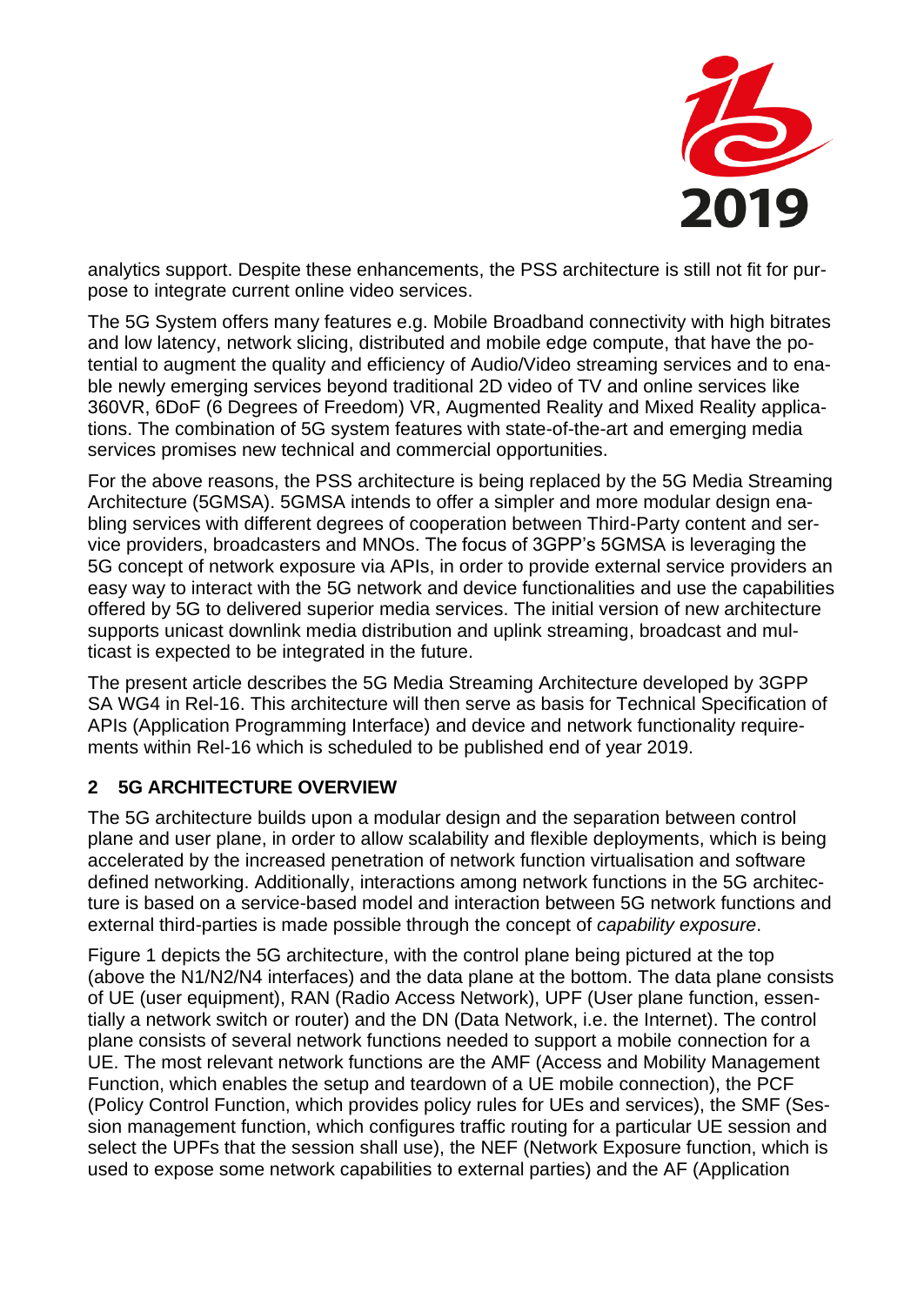

analytics support. Despite these enhancements, the PSS architecture is still not fit for purpose to integrate current online video services.

The 5G System offers many features e.g. Mobile Broadband connectivity with high bitrates and low latency, network slicing, distributed and mobile edge compute, that have the potential to augment the quality and efficiency of Audio/Video streaming services and to enable newly emerging services beyond traditional 2D video of TV and online services like 360VR, 6DoF (6 Degrees of Freedom) VR, Augmented Reality and Mixed Reality applications. The combination of 5G system features with state-of-the-art and emerging media services promises new technical and commercial opportunities.

For the above reasons, the PSS architecture is being replaced by the 5G Media Streaming Architecture (5GMSA). 5GMSA intends to offer a simpler and more modular design enabling services with different degrees of cooperation between Third-Party content and service providers, broadcasters and MNOs. The focus of 3GPP's 5GMSA is leveraging the 5G concept of network exposure via APIs, in order to provide external service providers an easy way to interact with the 5G network and device functionalities and use the capabilities offered by 5G to delivered superior media services. The initial version of new architecture supports unicast downlink media distribution and uplink streaming, broadcast and multicast is expected to be integrated in the future.

The present article describes the 5G Media Streaming Architecture developed by 3GPP SA WG4 in Rel-16. This architecture will then serve as basis for Technical Specification of APIs (Application Programming Interface) and device and network functionality requirements within Rel-16 which is scheduled to be published end of year 2019.

### **2 5G ARCHITECTURE OVERVIEW**

The 5G architecture builds upon a modular design and the separation between control plane and user plane, in order to allow scalability and flexible deployments, which is being accelerated by the increased penetration of network function virtualisation and software defined networking. Additionally, interactions among network functions in the 5G architecture is based on a service-based model and interaction between 5G network functions and external third-parties is made possible through the concept of *capability exposure*.

[Figure 1](#page-2-0) depicts the 5G architecture, with the control plane being pictured at the top (above the N1/N2/N4 interfaces) and the data plane at the bottom. The data plane consists of UE (user equipment), RAN (Radio Access Network), UPF (User plane function, essentially a network switch or router) and the DN (Data Network, i.e. the Internet). The control plane consists of several network functions needed to support a mobile connection for a UE. The most relevant network functions are the AMF (Access and Mobility Management Function, which enables the setup and teardown of a UE mobile connection), the PCF (Policy Control Function, which provides policy rules for UEs and services), the SMF (Session management function, which configures traffic routing for a particular UE session and select the UPFs that the session shall use), the NEF (Network Exposure function, which is used to expose some network capabilities to external parties) and the AF (Application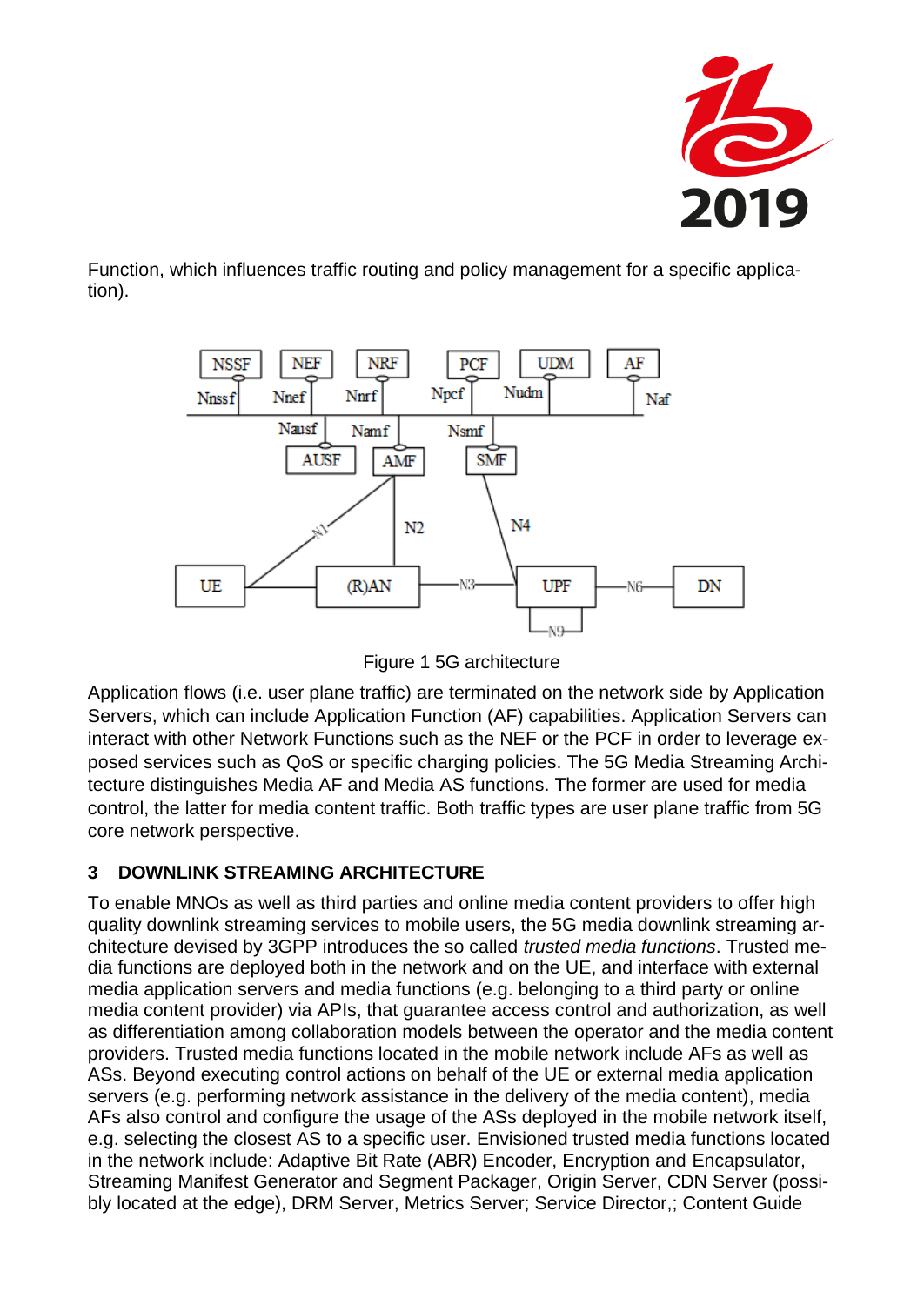

Function, which influences traffic routing and policy management for a specific application).



Figure 1 5G architecture

<span id="page-2-0"></span>Application flows (i.e. user plane traffic) are terminated on the network side by Application Servers, which can include Application Function (AF) capabilities. Application Servers can interact with other Network Functions such as the NEF or the PCF in order to leverage exposed services such as QoS or specific charging policies. The 5G Media Streaming Architecture distinguishes Media AF and Media AS functions. The former are used for media control, the latter for media content traffic. Both traffic types are user plane traffic from 5G core network perspective.

# **3 DOWNLINK STREAMING ARCHITECTURE**

To enable MNOs as well as third parties and online media content providers to offer high quality downlink streaming services to mobile users, the 5G media downlink streaming architecture devised by 3GPP introduces the so called *trusted media functions*. Trusted media functions are deployed both in the network and on the UE, and interface with external media application servers and media functions (e.g. belonging to a third party or online media content provider) via APIs, that guarantee access control and authorization, as well as differentiation among collaboration models between the operator and the media content providers. Trusted media functions located in the mobile network include AFs as well as ASs. Beyond executing control actions on behalf of the UE or external media application servers (e.g. performing network assistance in the delivery of the media content), media AFs also control and configure the usage of the ASs deployed in the mobile network itself, e.g. selecting the closest AS to a specific user. Envisioned trusted media functions located in the network include: Adaptive Bit Rate (ABR) Encoder, Encryption and Encapsulator, Streaming Manifest Generator and Segment Packager, Origin Server, CDN Server (possibly located at the edge), DRM Server, Metrics Server; Service Director,; Content Guide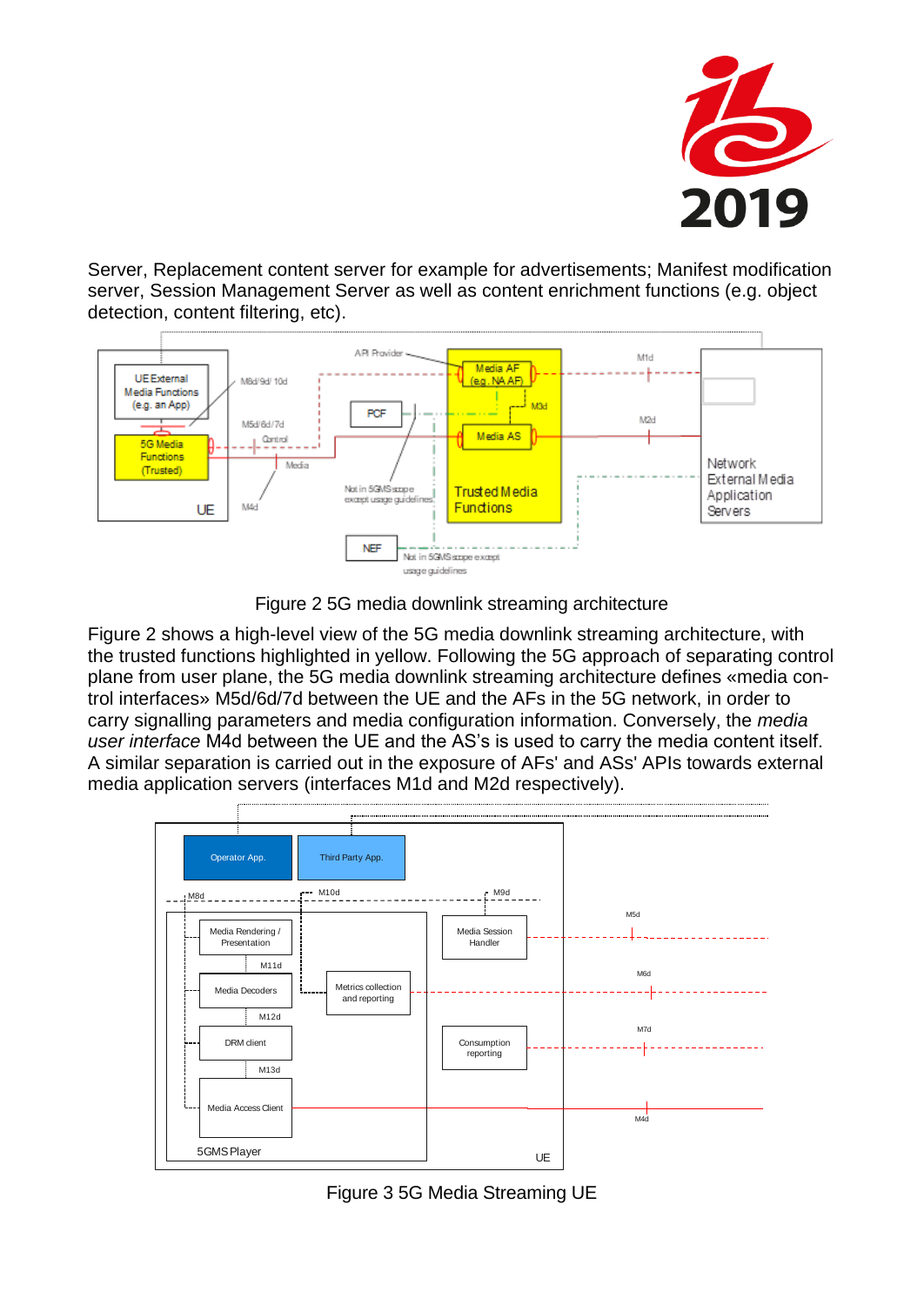

Server, Replacement content server for example for advertisements; Manifest modification server, Session Management Server as well as content enrichment functions (e.g. object detection, content filtering, etc).



Figure 2 5G media downlink streaming architecture

<span id="page-3-0"></span>[Figure 2](#page-3-0) shows a high-level view of the 5G media downlink streaming architecture, with the trusted functions highlighted in yellow. Following the 5G approach of separating control plane from user plane, the 5G media downlink streaming architecture defines «media control interfaces» M5d/6d/7d between the UE and the AFs in the 5G network, in order to carry signalling parameters and media configuration information. Conversely, the *media user interface* M4d between the UE and the AS's is used to carry the media content itself. A similar separation is carried out in the exposure of AFs' and ASs' APIs towards external media application servers (interfaces M1d and M2d respectively).



<span id="page-3-1"></span>Figure 3 5G Media Streaming UE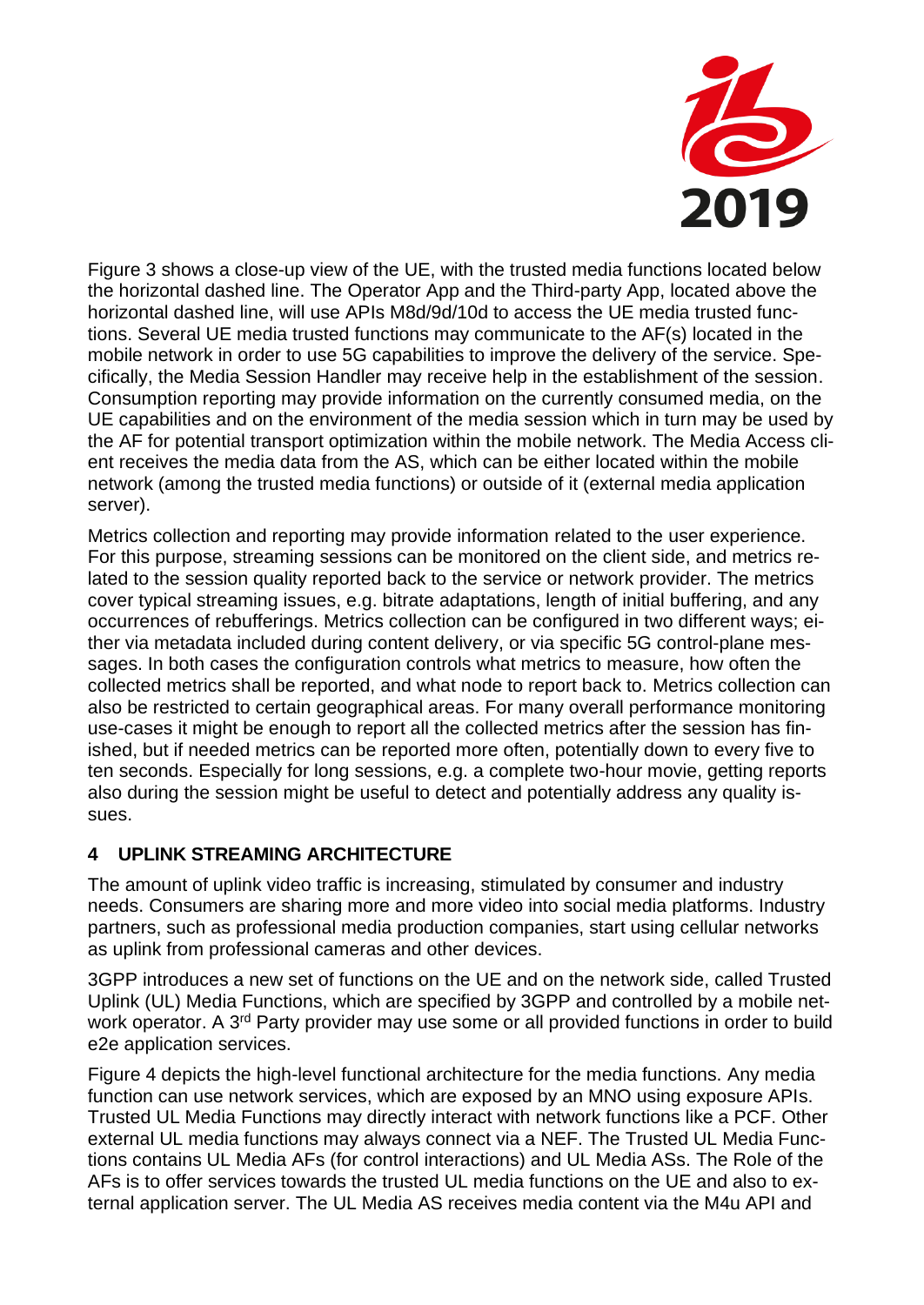

[Figure 3](#page-3-1) shows a close-up view of the UE, with the trusted media functions located below the horizontal dashed line. The Operator App and the Third-party App, located above the horizontal dashed line, will use APIs M8d/9d/10d to access the UE media trusted functions. Several UE media trusted functions may communicate to the AF(s) located in the mobile network in order to use 5G capabilities to improve the delivery of the service. Specifically, the Media Session Handler may receive help in the establishment of the session. Consumption reporting may provide information on the currently consumed media, on the UE capabilities and on the environment of the media session which in turn may be used by the AF for potential transport optimization within the mobile network. The Media Access client receives the media data from the AS, which can be either located within the mobile network (among the trusted media functions) or outside of it (external media application server).

Metrics collection and reporting may provide information related to the user experience. For this purpose, streaming sessions can be monitored on the client side, and metrics related to the session quality reported back to the service or network provider. The metrics cover typical streaming issues, e.g. bitrate adaptations, length of initial buffering, and any occurrences of rebufferings. Metrics collection can be configured in two different ways; either via metadata included during content delivery, or via specific 5G control-plane messages. In both cases the configuration controls what metrics to measure, how often the collected metrics shall be reported, and what node to report back to. Metrics collection can also be restricted to certain geographical areas. For many overall performance monitoring use-cases it might be enough to report all the collected metrics after the session has finished, but if needed metrics can be reported more often, potentially down to every five to ten seconds. Especially for long sessions, e.g. a complete two-hour movie, getting reports also during the session might be useful to detect and potentially address any quality issues.

# **4 UPLINK STREAMING ARCHITECTURE**

The amount of uplink video traffic is increasing, stimulated by consumer and industry needs. Consumers are sharing more and more video into social media platforms. Industry partners, such as professional media production companies, start using cellular networks as uplink from professional cameras and other devices.

3GPP introduces a new set of functions on the UE and on the network side, called Trusted Uplink (UL) Media Functions, which are specified by 3GPP and controlled by a mobile network operator. A 3<sup>rd</sup> Party provider may use some or all provided functions in order to build e2e application services.

[Figure 4](#page-5-0) depicts the high-level functional architecture for the media functions. Any media function can use network services, which are exposed by an MNO using exposure APIs. Trusted UL Media Functions may directly interact with network functions like a PCF. Other external UL media functions may always connect via a NEF. The Trusted UL Media Functions contains UL Media AFs (for control interactions) and UL Media ASs. The Role of the AFs is to offer services towards the trusted UL media functions on the UE and also to external application server. The UL Media AS receives media content via the M4u API and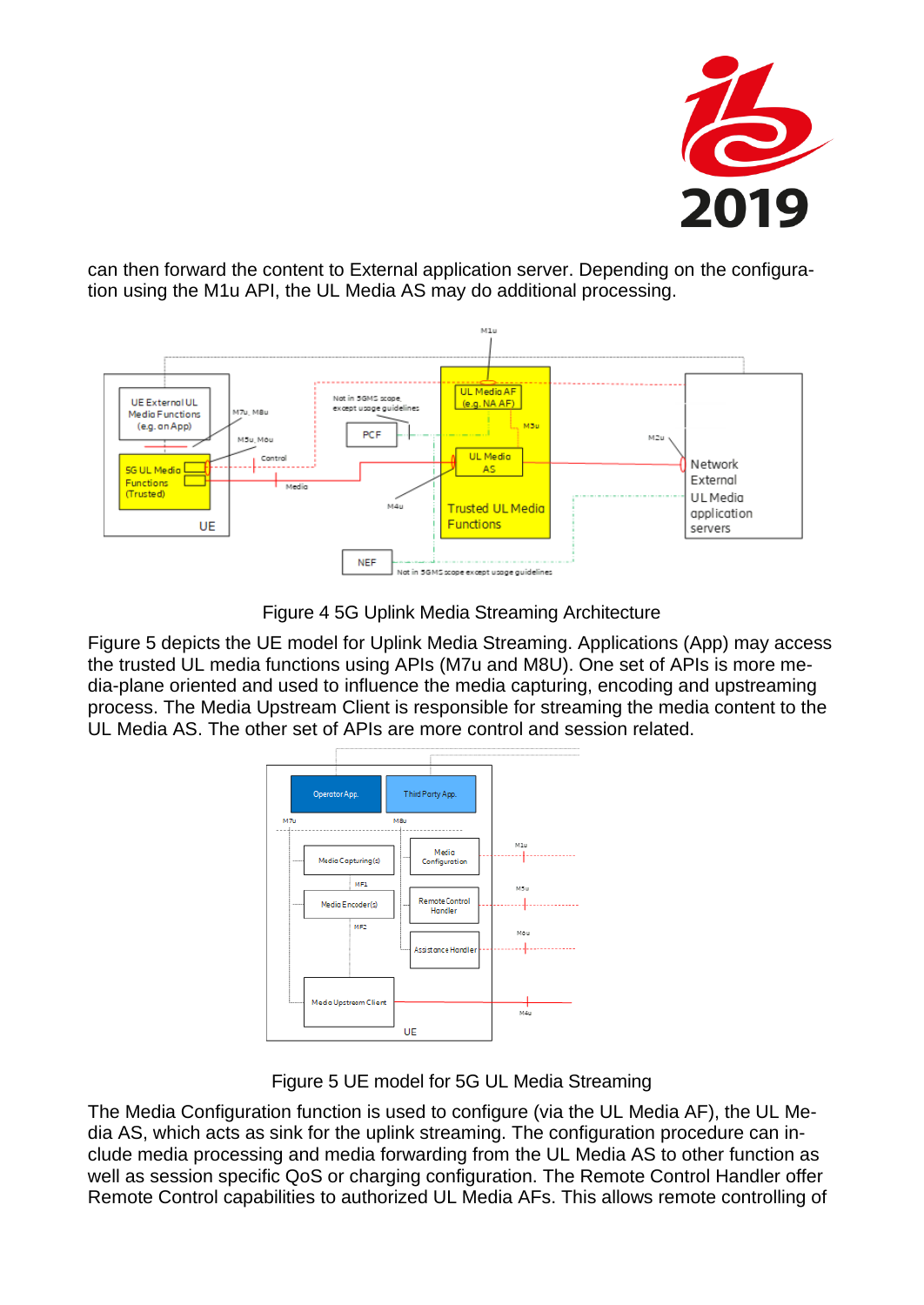

can then forward the content to External application server. Depending on the configuration using the M1u API, the UL Media AS may do additional processing.



Figure 4 5G Uplink Media Streaming Architecture

<span id="page-5-0"></span>[Figure 5](#page-5-1) depicts the UE model for Uplink Media Streaming. Applications (App) may access the trusted UL media functions using APIs (M7u and M8U). One set of APIs is more media-plane oriented and used to influence the media capturing, encoding and upstreaming process. The Media Upstream Client is responsible for streaming the media content to the UL Media AS. The other set of APIs are more control and session related.



Figure 5 UE model for 5G UL Media Streaming

<span id="page-5-1"></span>The Media Configuration function is used to configure (via the UL Media AF), the UL Media AS, which acts as sink for the uplink streaming. The configuration procedure can include media processing and media forwarding from the UL Media AS to other function as well as session specific QoS or charging configuration. The Remote Control Handler offer Remote Control capabilities to authorized UL Media AFs. This allows remote controlling of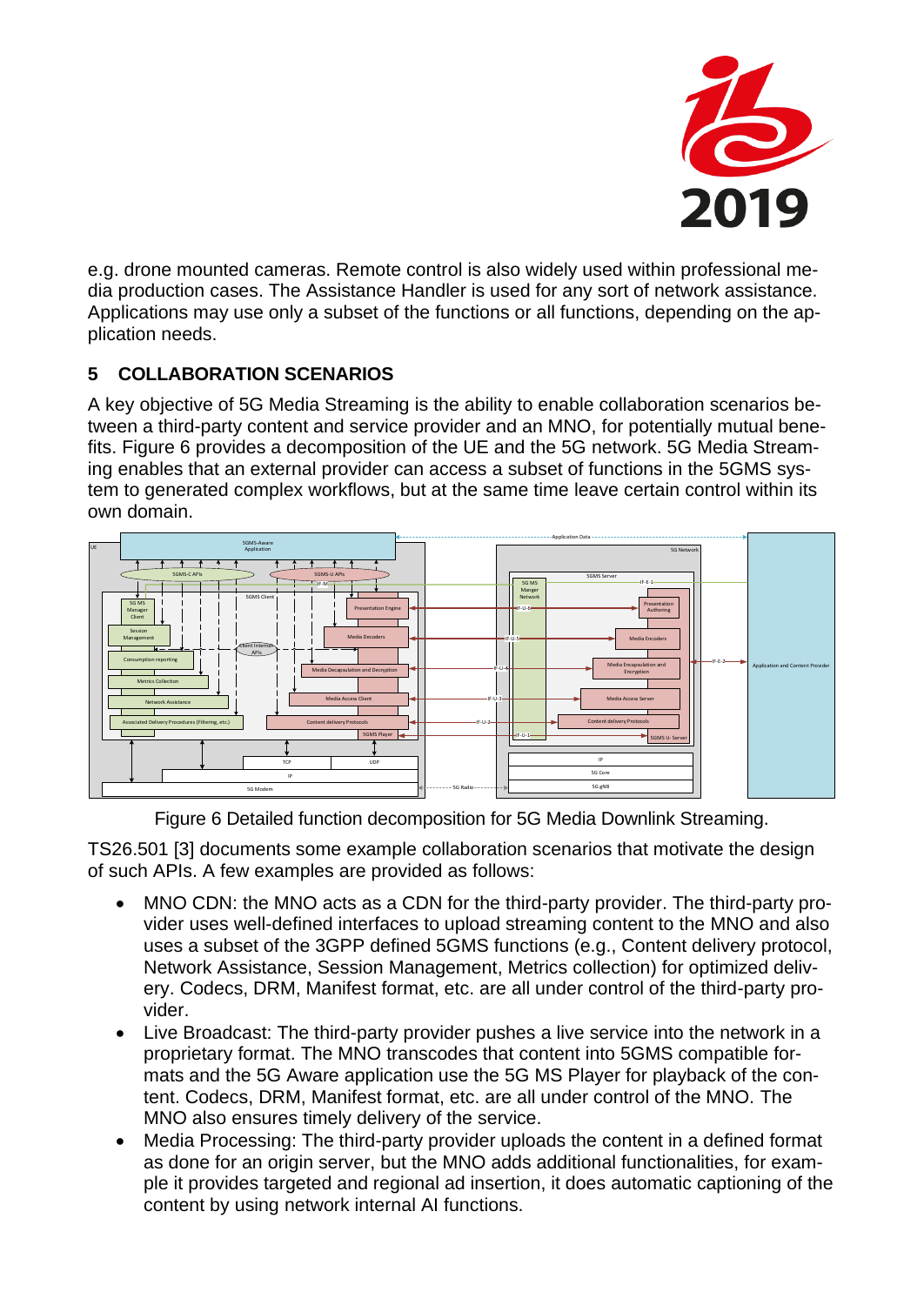

e.g. drone mounted cameras. Remote control is also widely used within professional media production cases. The Assistance Handler is used for any sort of network assistance. Applications may use only a subset of the functions or all functions, depending on the application needs.

# **5 COLLABORATION SCENARIOS**

A key objective of 5G Media Streaming is the ability to enable collaboration scenarios between a third-party content and service provider and an MNO, for potentially mutual benefits. [Figure 6](#page-6-0) provides a decomposition of the UE and the 5G network. 5G Media Streaming enables that an external provider can access a subset of functions in the 5GMS system to generated complex workflows, but at the same time leave certain control within its own domain.



Figure 6 Detailed function decomposition for 5G Media Downlink Streaming.

<span id="page-6-0"></span>TS26.501 [3] documents some example collaboration scenarios that motivate the design of such APIs. A few examples are provided as follows:

- MNO CDN: the MNO acts as a CDN for the third-party provider. The third-party provider uses well-defined interfaces to upload streaming content to the MNO and also uses a subset of the 3GPP defined 5GMS functions (e.g., Content delivery protocol, Network Assistance, Session Management, Metrics collection) for optimized delivery. Codecs, DRM, Manifest format, etc. are all under control of the third-party provider.
- Live Broadcast: The third-party provider pushes a live service into the network in a proprietary format. The MNO transcodes that content into 5GMS compatible formats and the 5G Aware application use the 5G MS Player for playback of the content. Codecs, DRM, Manifest format, etc. are all under control of the MNO. The MNO also ensures timely delivery of the service.
- Media Processing: The third-party provider uploads the content in a defined format as done for an origin server, but the MNO adds additional functionalities, for example it provides targeted and regional ad insertion, it does automatic captioning of the content by using network internal AI functions.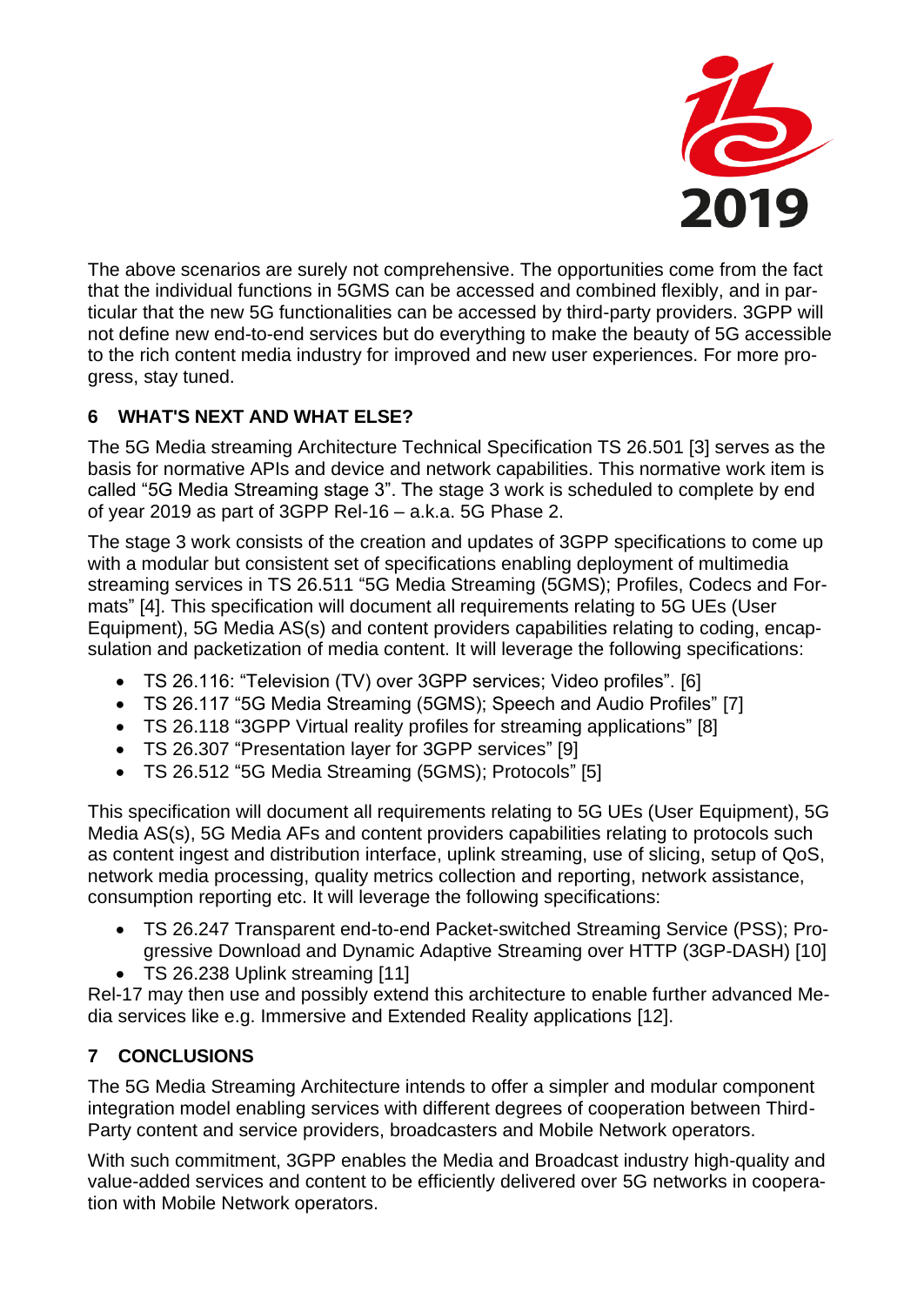

The above scenarios are surely not comprehensive. The opportunities come from the fact that the individual functions in 5GMS can be accessed and combined flexibly, and in particular that the new 5G functionalities can be accessed by third-party providers. 3GPP will not define new end-to-end services but do everything to make the beauty of 5G accessible to the rich content media industry for improved and new user experiences. For more progress, stay tuned.

# **6 WHAT'S NEXT AND WHAT ELSE?**

The 5G Media streaming Architecture Technical Specification TS 26.501 [3] serves as the basis for normative APIs and device and network capabilities. This normative work item is called "5G Media Streaming stage 3". The stage 3 work is scheduled to complete by end of year 2019 as part of 3GPP Rel-16 – a.k.a. 5G Phase 2.

The stage 3 work consists of the creation and updates of 3GPP specifications to come up with a modular but consistent set of specifications enabling deployment of multimedia streaming services in TS 26.511 "5G Media Streaming (5GMS); Profiles, Codecs and Formats" [4]. This specification will document all requirements relating to 5G UEs (User Equipment), 5G Media AS(s) and content providers capabilities relating to coding, encapsulation and packetization of media content. It will leverage the following specifications:

- TS 26.116: "Television (TV) over 3GPP services; Video profiles". [6]
- TS 26.117 "5G Media Streaming (5GMS); Speech and Audio Profiles" [7]
- TS 26.118 "3GPP Virtual reality profiles for streaming applications" [8]
- TS 26.307 "Presentation layer for 3GPP services" [9]
- TS 26.512 "5G Media Streaming (5GMS); Protocols" [5]

This specification will document all requirements relating to 5G UEs (User Equipment), 5G Media AS(s), 5G Media AFs and content providers capabilities relating to protocols such as content ingest and distribution interface, uplink streaming, use of slicing, setup of QoS, network media processing, quality metrics collection and reporting, network assistance, consumption reporting etc. It will leverage the following specifications:

- TS 26.247 Transparent end-to-end Packet-switched Streaming Service (PSS); Progressive Download and Dynamic Adaptive Streaming over HTTP (3GP-DASH) [10]
- TS 26.238 Uplink streaming [11]

Rel-17 may then use and possibly extend this architecture to enable further advanced Media services like e.g. Immersive and Extended Reality applications [12].

# **7 CONCLUSIONS**

The 5G Media Streaming Architecture intends to offer a simpler and modular component integration model enabling services with different degrees of cooperation between Third-Party content and service providers, broadcasters and Mobile Network operators.

With such commitment, 3GPP enables the Media and Broadcast industry high-quality and value-added services and content to be efficiently delivered over 5G networks in cooperation with Mobile Network operators.